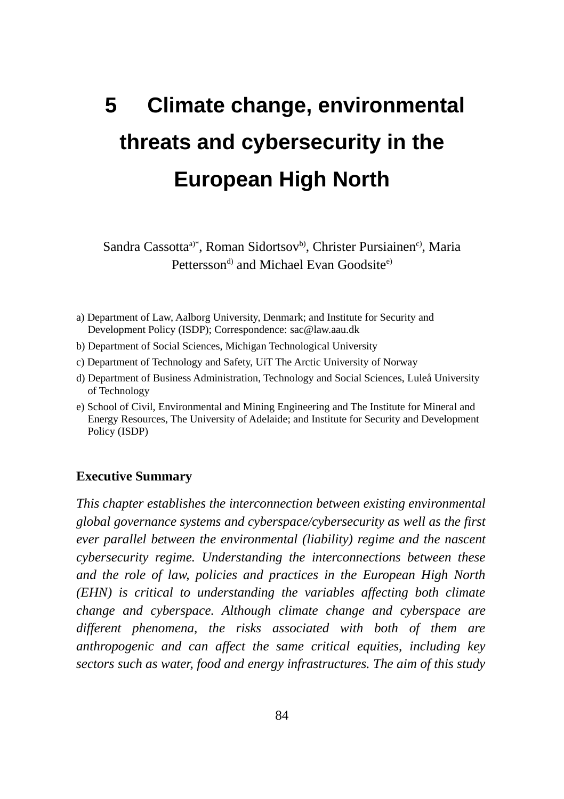# **5 Climate change, environmental threats and cybersecurity in the European High North**

Sandra Cassotta<sup>a)\*</sup>, Roman Sidortsov<sup>b</sup>, Christer Pursiainen<sup>c)</sup>, Maria Pettersson<sup>d)</sup> and Michael Evan Goodsite<sup>e)</sup>

- a) Department of Law, Aalborg University, Denmark; and Institute for Security and Development Policy (ISDP); Correspondence: sac@law.aau.dk
- b) Department of Social Sciences, Michigan Technological University
- c) Department of Technology and Safety, UiT The Arctic University of Norway
- d) Department of Business Administration, Technology and Social Sciences, Luleå University of Technology
- e) School of Civil, Environmental and Mining Engineering and The Institute for Mineral and Energy Resources, The University of Adelaide; and Institute for Security and Development Policy (ISDP)

#### **Executive Summary**

*This chapter establishes the interconnection between existing environmental global governance systems and cyberspace/cybersecurity as well as the first ever parallel between the environmental (liability) regime and the nascent cybersecurity regime. Understanding the interconnections between these and the role of law, policies and practices in the European High North (EHN) is critical to understanding the variables affecting both climate change and cyberspace. Although climate change and cyberspace are different phenomena, the risks associated with both of them are anthropogenic and can affect the same critical equities, including key sectors such as water, food and energy infrastructures. The aim of this study*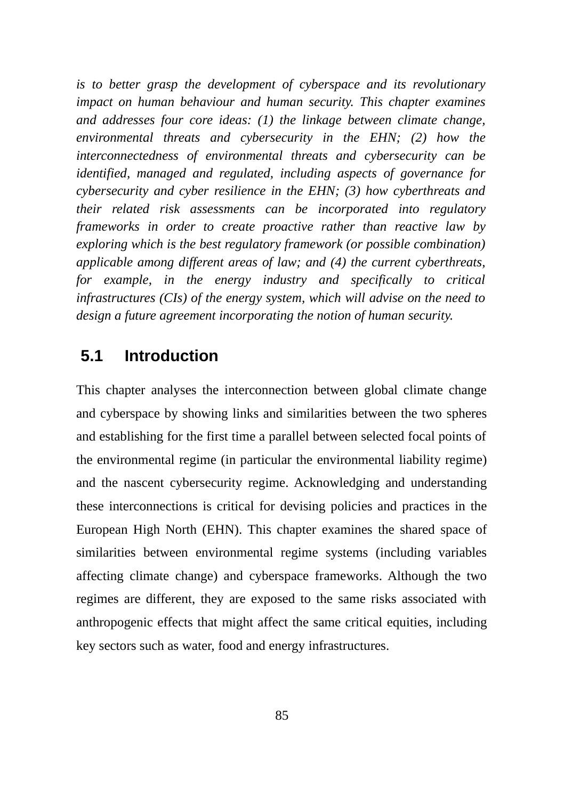*is to better grasp the development of cyberspace and its revolutionary impact on human behaviour and human security. This chapter examines and addresses four core ideas: (1) the linkage between climate change, environmental threats and cybersecurity in the EHN; (2) how the interconnectedness of environmental threats and cybersecurity can be identified, managed and regulated, including aspects of governance for cybersecurity and cyber resilience in the EHN; (3) how cyberthreats and their related risk assessments can be incorporated into regulatory frameworks in order to create proactive rather than reactive law by exploring which is the best regulatory framework (or possible combination) applicable among different areas of law; and (4) the current cyberthreats, for example, in the energy industry and specifically to critical infrastructures (CIs) of the energy system, which will advise on the need to design a future agreement incorporating the notion of human security.*

### **5.1 Introduction**

This chapter analyses the interconnection between global climate change and cyberspace by showing links and similarities between the two spheres and establishing for the first time a parallel between selected focal points of the environmental regime (in particular the environmental liability regime) and the nascent cybersecurity regime. Acknowledging and understanding these interconnections is critical for devising policies and practices in the European High North (EHN). This chapter examines the shared space of similarities between environmental regime systems (including variables affecting climate change) and cyberspace frameworks. Although the two regimes are different, they are exposed to the same risks associated with anthropogenic effects that might affect the same critical equities, including key sectors such as water, food and energy infrastructures.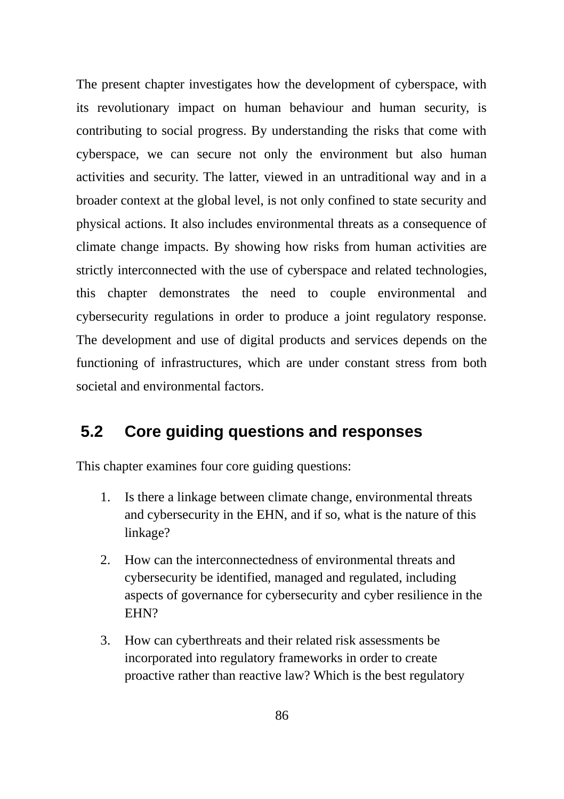The present chapter investigates how the development of cyberspace, with its revolutionary impact on human behaviour and human security, is contributing to social progress. By understanding the risks that come with cyberspace, we can secure not only the environment but also human activities and security. The latter, viewed in an untraditional way and in a broader context at the global level, is not only confined to state security and physical actions. It also includes environmental threats as a consequence of climate change impacts. By showing how risks from human activities are strictly interconnected with the use of cyberspace and related technologies, this chapter demonstrates the need to couple environmental and cybersecurity regulations in order to produce a joint regulatory response. The development and use of digital products and services depends on the functioning of infrastructures, which are under constant stress from both societal and environmental factors.

# **5.2 Core guiding questions and responses**

This chapter examines four core guiding questions:

- 1. Is there a linkage between climate change, environmental threats and cybersecurity in the EHN, and if so, what is the nature of this linkage?
- 2. How can the interconnectedness of environmental threats and cybersecurity be identified, managed and regulated, including aspects of governance for cybersecurity and cyber resilience in the EHN?
- 3. How can cyberthreats and their related risk assessments be incorporated into regulatory frameworks in order to create proactive rather than reactive law? Which is the best regulatory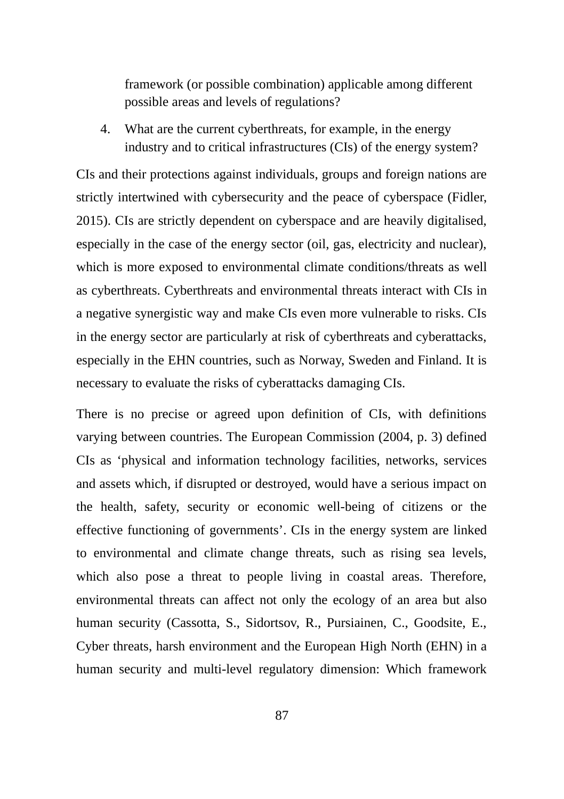framework (or possible combination) applicable among different possible areas and levels of regulations?

4. What are the current cyberthreats, for example, in the energy industry and to critical infrastructures (CIs) of the energy system?

CIs and their protections against individuals, groups and foreign nations are strictly intertwined with cybersecurity and the peace of cyberspace (Fidler, 2015). CIs are strictly dependent on cyberspace and are heavily digitalised, especially in the case of the energy sector (oil, gas, electricity and nuclear), which is more exposed to environmental climate conditions/threats as well as cyberthreats. Cyberthreats and environmental threats interact with CIs in a negative synergistic way and make CIs even more vulnerable to risks. CIs in the energy sector are particularly at risk of cyberthreats and cyberattacks, especially in the EHN countries, such as Norway, Sweden and Finland. It is necessary to evaluate the risks of cyberattacks damaging CIs.

There is no precise or agreed upon definition of CIs, with definitions varying between countries. The European Commission (2004, p. 3) defined CIs as 'physical and information technology facilities, networks, services and assets which, if disrupted or destroyed, would have a serious impact on the health, safety, security or economic well-being of citizens or the effective functioning of governments'. CIs in the energy system are linked to environmental and climate change threats, such as rising sea levels, which also pose a threat to people living in coastal areas. Therefore, environmental threats can affect not only the ecology of an area but also human security (Cassotta, S., Sidortsov, R., Pursiainen, C., Goodsite, E., Cyber threats, harsh environment and the European High North (EHN) in a human security and multi-level regulatory dimension: Which framework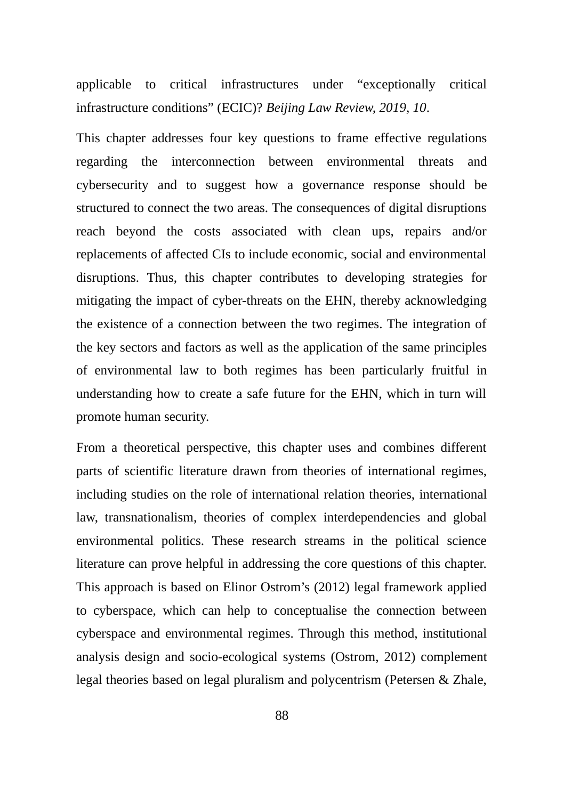applicable to critical infrastructures under "exceptionally critical infrastructure conditions" (ECIC)? *Beijing Law Review, 2019, 10*.

This chapter addresses four key questions to frame effective regulations regarding the interconnection between environmental threats and cybersecurity and to suggest how a governance response should be structured to connect the two areas. The consequences of digital disruptions reach beyond the costs associated with clean ups, repairs and/or replacements of affected CIs to include economic, social and environmental disruptions. Thus, this chapter contributes to developing strategies for mitigating the impact of cyber-threats on the EHN, thereby acknowledging the existence of a connection between the two regimes. The integration of the key sectors and factors as well as the application of the same principles of environmental law to both regimes has been particularly fruitful in understanding how to create a safe future for the EHN, which in turn will promote human security.

From a theoretical perspective, this chapter uses and combines different parts of scientific literature drawn from theories of international regimes, including studies on the role of international relation theories, international law, transnationalism, theories of complex interdependencies and global environmental politics. These research streams in the political science literature can prove helpful in addressing the core questions of this chapter. This approach is based on Elinor Ostrom's (2012) legal framework applied to cyberspace, which can help to conceptualise the connection between cyberspace and environmental regimes. Through this method, institutional analysis design and socio-ecological systems (Ostrom, 2012) complement legal theories based on legal pluralism and polycentrism (Petersen & Zhale,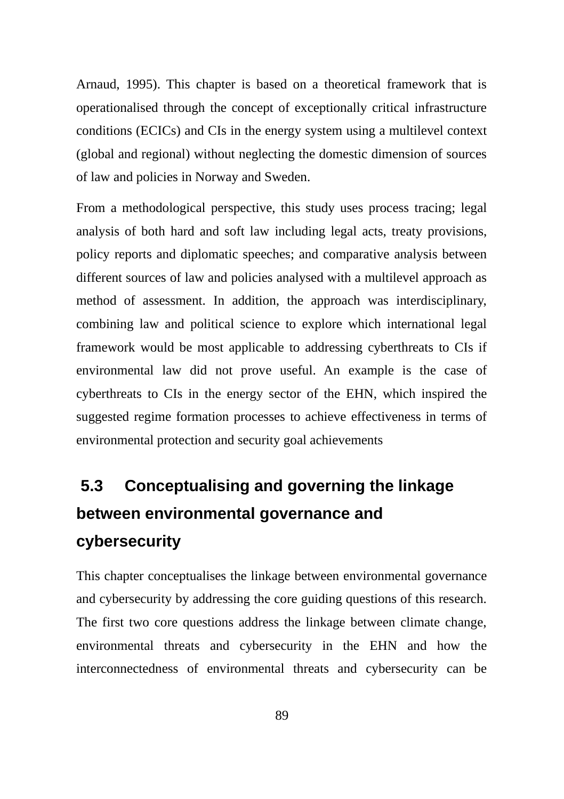Arnaud, 1995). This chapter is based on a theoretical framework that is operationalised through the concept of exceptionally critical infrastructure conditions (ECICs) and CIs in the energy system using a multilevel context (global and regional) without neglecting the domestic dimension of sources of law and policies in Norway and Sweden.

From a methodological perspective, this study uses process tracing; legal analysis of both hard and soft law including legal acts, treaty provisions, policy reports and diplomatic speeches; and comparative analysis between different sources of law and policies analysed with a multilevel approach as method of assessment. In addition, the approach was interdisciplinary, combining law and political science to explore which international legal framework would be most applicable to addressing cyberthreats to CIs if environmental law did not prove useful. An example is the case of cyberthreats to CIs in the energy sector of the EHN, which inspired the suggested regime formation processes to achieve effectiveness in terms of environmental protection and security goal achievements

# **5.3 Conceptualising and governing the linkage between environmental governance and cybersecurity**

This chapter conceptualises the linkage between environmental governance and cybersecurity by addressing the core guiding questions of this research. The first two core questions address the linkage between climate change, environmental threats and cybersecurity in the EHN and how the interconnectedness of environmental threats and cybersecurity can be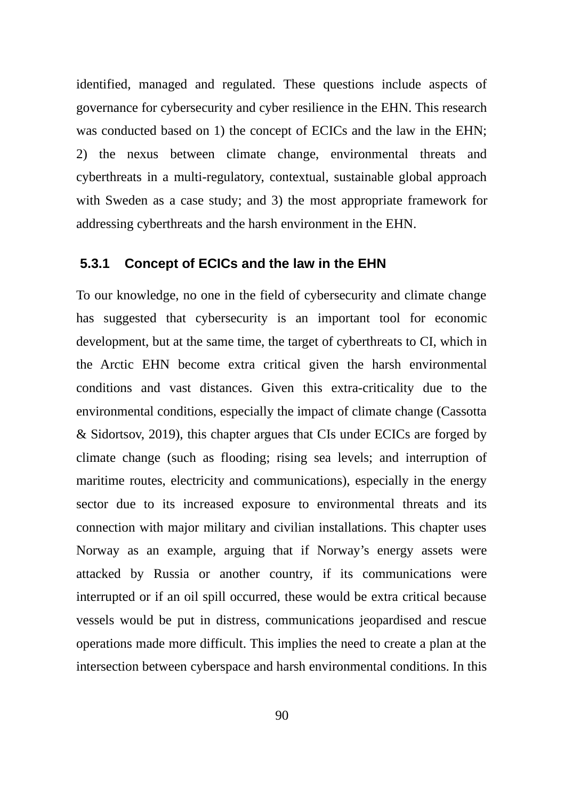identified, managed and regulated. These questions include aspects of governance for cybersecurity and cyber resilience in the EHN. This research was conducted based on 1) the concept of ECICs and the law in the EHN; 2) the nexus between climate change, environmental threats and cyberthreats in a multi-regulatory, contextual, sustainable global approach with Sweden as a case study; and 3) the most appropriate framework for addressing cyberthreats and the harsh environment in the EHN.

#### **5.3.1 Concept of ECICs and the law in the EHN**

To our knowledge, no one in the field of cybersecurity and climate change has suggested that cybersecurity is an important tool for economic development, but at the same time, the target of cyberthreats to CI, which in the Arctic EHN become extra critical given the harsh environmental conditions and vast distances. Given this extra-criticality due to the environmental conditions, especially the impact of climate change (Cassotta & Sidortsov, 2019), this chapter argues that CIs under ECICs are forged by climate change (such as flooding; rising sea levels; and interruption of maritime routes, electricity and communications), especially in the energy sector due to its increased exposure to environmental threats and its connection with major military and civilian installations. This chapter uses Norway as an example, arguing that if Norway's energy assets were attacked by Russia or another country, if its communications were interrupted or if an oil spill occurred, these would be extra critical because vessels would be put in distress, communications jeopardised and rescue operations made more difficult. This implies the need to create a plan at the intersection between cyberspace and harsh environmental conditions. In this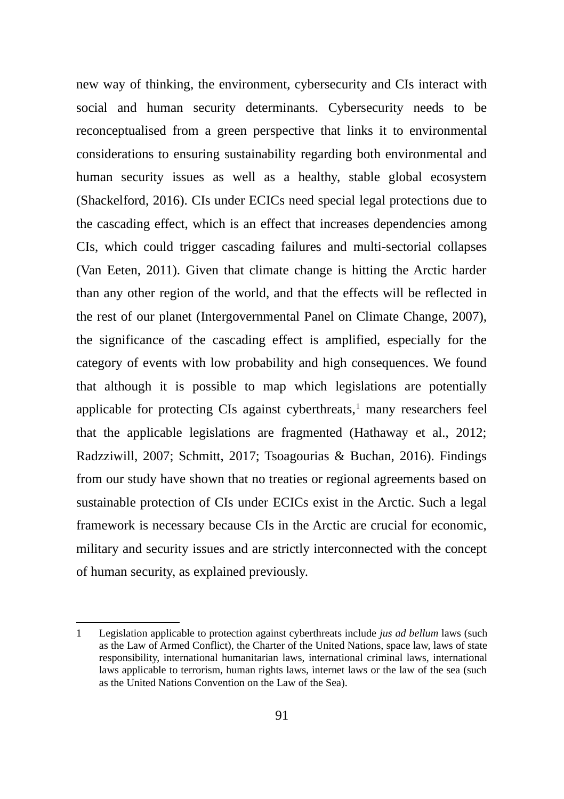new way of thinking, the environment, cybersecurity and CIs interact with social and human security determinants. Cybersecurity needs to be reconceptualised from a green perspective that links it to environmental considerations to ensuring sustainability regarding both environmental and human security issues as well as a healthy, stable global ecosystem (Shackelford, 2016). CIs under ECICs need special legal protections due to the cascading effect, which is an effect that increases dependencies among CIs, which could trigger cascading failures and multi-sectorial collapses (Van Eeten, 2011). Given that climate change is hitting the Arctic harder than any other region of the world, and that the effects will be reflected in the rest of our planet (Intergovernmental Panel on Climate Change, 2007), the significance of the cascading effect is amplified, especially for the category of events with low probability and high consequences. We found that although it is possible to map which legislations are potentially applicable for protecting CIs against cyberthreats,<sup>[1](#page-7-0)</sup> many researchers feel that the applicable legislations are fragmented (Hathaway et al., 2012; Radzziwill, 2007; Schmitt, 2017; Tsoagourias & Buchan, 2016). Findings from our study have shown that no treaties or regional agreements based on sustainable protection of CIs under ECICs exist in the Arctic. Such a legal framework is necessary because CIs in the Arctic are crucial for economic, military and security issues and are strictly interconnected with the concept of human security, as explained previously.

<span id="page-7-0"></span><sup>1</sup> Legislation applicable to protection against cyberthreats include *jus ad bellum* laws (such as the Law of Armed Conflict), the Charter of the United Nations, space law, laws of state responsibility, international humanitarian laws, international criminal laws, international laws applicable to terrorism, human rights laws, internet laws or the law of the sea (such as the United Nations Convention on the Law of the Sea).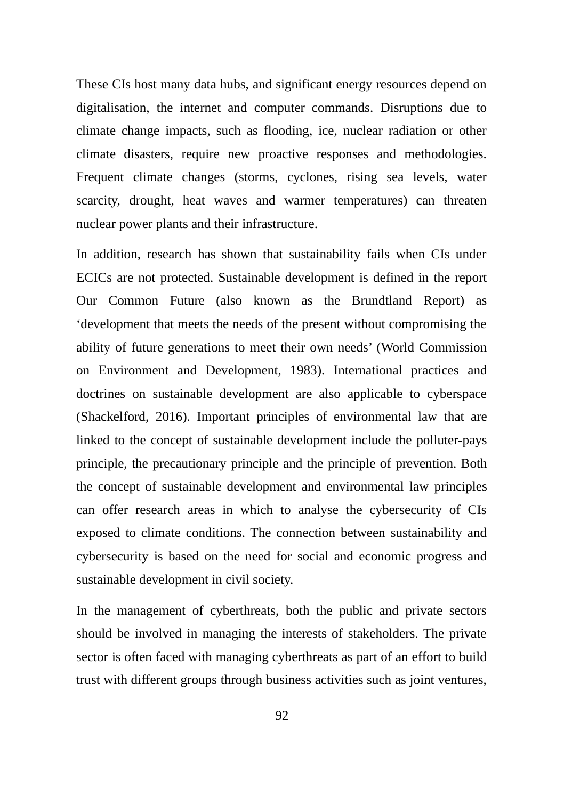These CIs host many data hubs, and significant energy resources depend on digitalisation, the internet and computer commands. Disruptions due to climate change impacts, such as flooding, ice, nuclear radiation or other climate disasters, require new proactive responses and methodologies. Frequent climate changes (storms, cyclones, rising sea levels, water scarcity, drought, heat waves and warmer temperatures) can threaten nuclear power plants and their infrastructure.

In addition, research has shown that sustainability fails when CIs under ECICs are not protected. Sustainable development is defined in the report Our Common Future (also known as the Brundtland Report) as 'development that meets the needs of the present without compromising the ability of future generations to meet their own needs' (World Commission on Environment and Development, 1983). International practices and doctrines on sustainable development are also applicable to cyberspace (Shackelford, 2016). Important principles of environmental law that are linked to the concept of sustainable development include the polluter-pays principle, the precautionary principle and the principle of prevention. Both the concept of sustainable development and environmental law principles can offer research areas in which to analyse the cybersecurity of CIs exposed to climate conditions. The connection between sustainability and cybersecurity is based on the need for social and economic progress and sustainable development in civil society.

In the management of cyberthreats, both the public and private sectors should be involved in managing the interests of stakeholders. The private sector is often faced with managing cyberthreats as part of an effort to build trust with different groups through business activities such as joint ventures,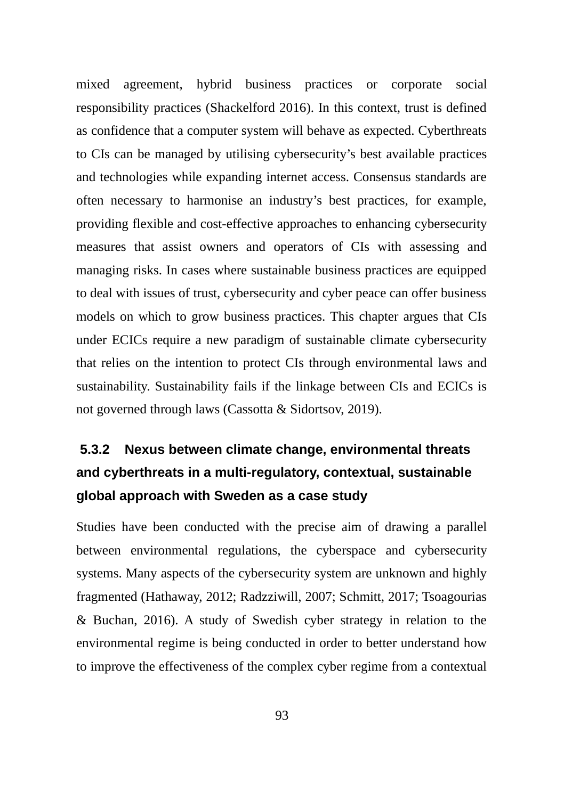mixed agreement, hybrid business practices or corporate social responsibility practices (Shackelford 2016). In this context, trust is defined as confidence that a computer system will behave as expected. Cyberthreats to CIs can be managed by utilising cybersecurity's best available practices and technologies while expanding internet access. Consensus standards are often necessary to harmonise an industry's best practices, for example, providing flexible and cost-effective approaches to enhancing cybersecurity measures that assist owners and operators of CIs with assessing and managing risks. In cases where sustainable business practices are equipped to deal with issues of trust, cybersecurity and cyber peace can offer business models on which to grow business practices. This chapter argues that CIs under ECICs require a new paradigm of sustainable climate cybersecurity that relies on the intention to protect CIs through environmental laws and sustainability. Sustainability fails if the linkage between CIs and ECICs is not governed through laws (Cassotta & Sidortsov, 2019).

# **5.3.2 Nexus between climate change, environmental threats and cyberthreats in a multi-regulatory, contextual, sustainable global approach with Sweden as a case study**

Studies have been conducted with the precise aim of drawing a parallel between environmental regulations, the cyberspace and cybersecurity systems. Many aspects of the cybersecurity system are unknown and highly fragmented (Hathaway, 2012; Radzziwill, 2007; Schmitt, 2017; Tsoagourias & Buchan, 2016). A study of Swedish cyber strategy in relation to the environmental regime is being conducted in order to better understand how to improve the effectiveness of the complex cyber regime from a contextual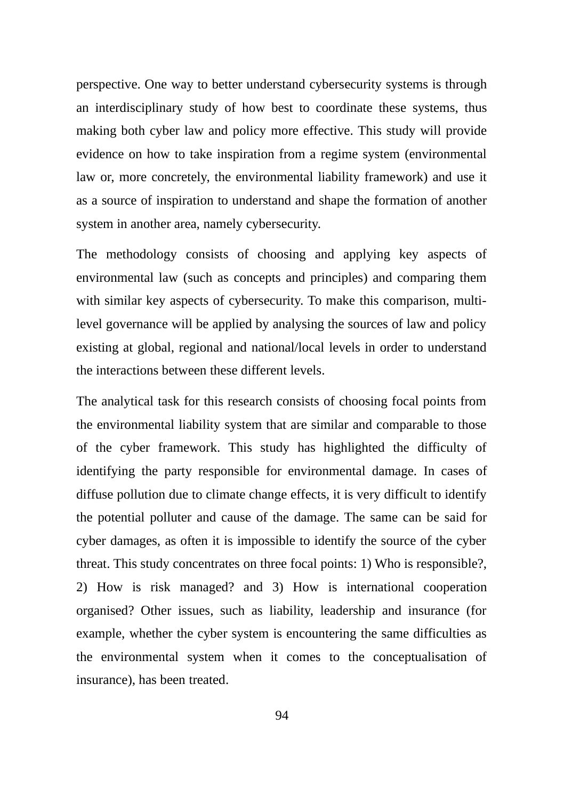perspective. One way to better understand cybersecurity systems is through an interdisciplinary study of how best to coordinate these systems, thus making both cyber law and policy more effective. This study will provide evidence on how to take inspiration from a regime system (environmental law or, more concretely, the environmental liability framework) and use it as a source of inspiration to understand and shape the formation of another system in another area, namely cybersecurity.

The methodology consists of choosing and applying key aspects of environmental law (such as concepts and principles) and comparing them with similar key aspects of cybersecurity. To make this comparison, multilevel governance will be applied by analysing the sources of law and policy existing at global, regional and national/local levels in order to understand the interactions between these different levels.

The analytical task for this research consists of choosing focal points from the environmental liability system that are similar and comparable to those of the cyber framework. This study has highlighted the difficulty of identifying the party responsible for environmental damage. In cases of diffuse pollution due to climate change effects, it is very difficult to identify the potential polluter and cause of the damage. The same can be said for cyber damages, as often it is impossible to identify the source of the cyber threat. This study concentrates on three focal points: 1) Who is responsible?, 2) How is risk managed? and 3) How is international cooperation organised? Other issues, such as liability, leadership and insurance (for example, whether the cyber system is encountering the same difficulties as the environmental system when it comes to the conceptualisation of insurance), has been treated.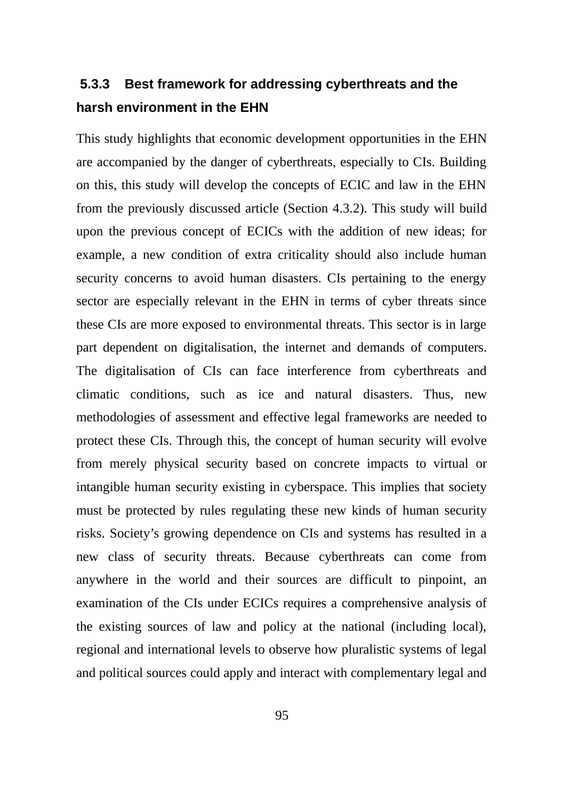# **5.3.3 Best framework for addressing cyberthreats and the harsh environment in the EHN**

This study highlights that economic development opportunities in the EHN are accompanied by the danger of cyberthreats, especially to CIs. Building on this, this study will develop the concepts of ECIC and law in the EHN from the previously discussed article (Section 4.3.2). This study will build upon the previous concept of ECICs with the addition of new ideas; for example, a new condition of extra criticality should also include human security concerns to avoid human disasters. CIs pertaining to the energy sector are especially relevant in the EHN in terms of cyber threats since these CIs are more exposed to environmental threats. This sector is in large part dependent on digitalisation, the internet and demands of computers. The digitalisation of CIs can face interference from cyberthreats and climatic conditions, such as ice and natural disasters. Thus, new methodologies of assessment and effective legal frameworks are needed to protect these CIs. Through this, the concept of human security will evolve from merely physical security based on concrete impacts to virtual or intangible human security existing in cyberspace. This implies that society must be protected by rules regulating these new kinds of human security risks. Society's growing dependence on CIs and systems has resulted in a new class of security threats. Because cyberthreats can come from anywhere in the world and their sources are difficult to pinpoint, an examination of the CIs under ECICs requires a comprehensive analysis of the existing sources of law and policy at the national (including local), regional and international levels to observe how pluralistic systems of legal and political sources could apply and interact with complementary legal and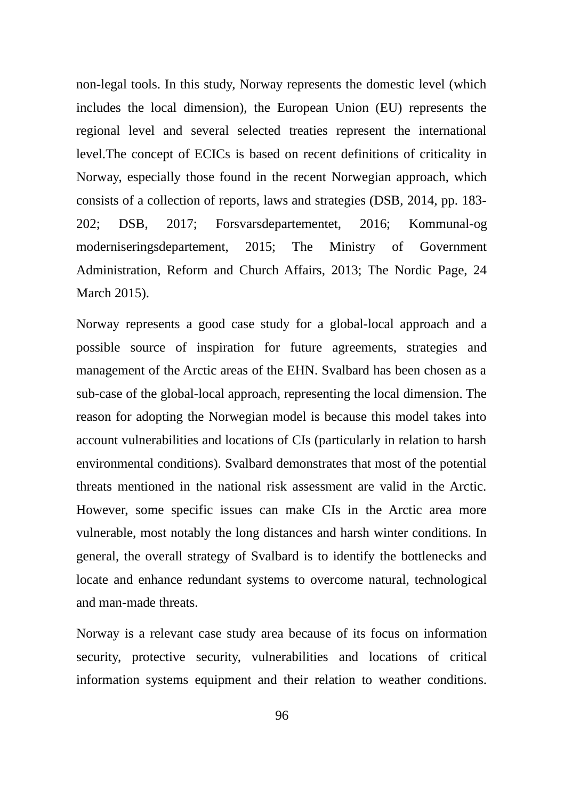non-legal tools. In this study, Norway represents the domestic level (which includes the local dimension), the European Union (EU) represents the regional level and several selected treaties represent the international level.The concept of ECICs is based on recent definitions of criticality in Norway, especially those found in the recent Norwegian approach, which consists of a collection of reports, laws and strategies (DSB, 2014, pp. 183- 202; DSB, 2017; Forsvarsdepartementet, 2016; Kommunal-og moderniseringsdepartement, 2015; The Ministry of Government Administration, Reform and Church Affairs, 2013; The Nordic Page, 24 March 2015).

Norway represents a good case study for a global-local approach and a possible source of inspiration for future agreements, strategies and management of the Arctic areas of the EHN. Svalbard has been chosen as a sub-case of the global-local approach, representing the local dimension. The reason for adopting the Norwegian model is because this model takes into account vulnerabilities and locations of CIs (particularly in relation to harsh environmental conditions). Svalbard demonstrates that most of the potential threats mentioned in the national risk assessment are valid in the Arctic. However, some specific issues can make CIs in the Arctic area more vulnerable, most notably the long distances and harsh winter conditions. In general, the overall strategy of Svalbard is to identify the bottlenecks and locate and enhance redundant systems to overcome natural, technological and man-made threats.

Norway is a relevant case study area because of its focus on information security, protective security, vulnerabilities and locations of critical information systems equipment and their relation to weather conditions.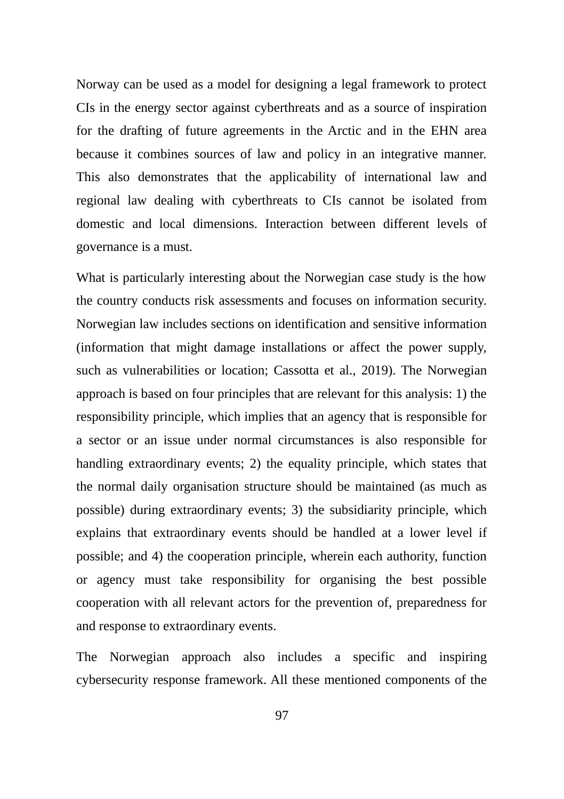Norway can be used as a model for designing a legal framework to protect CIs in the energy sector against cyberthreats and as a source of inspiration for the drafting of future agreements in the Arctic and in the EHN area because it combines sources of law and policy in an integrative manner. This also demonstrates that the applicability of international law and regional law dealing with cyberthreats to CIs cannot be isolated from domestic and local dimensions. Interaction between different levels of governance is a must.

What is particularly interesting about the Norwegian case study is the how the country conducts risk assessments and focuses on information security. Norwegian law includes sections on identification and sensitive information (information that might damage installations or affect the power supply, such as vulnerabilities or location; Cassotta et al., 2019). The Norwegian approach is based on four principles that are relevant for this analysis: 1) the responsibility principle, which implies that an agency that is responsible for a sector or an issue under normal circumstances is also responsible for handling extraordinary events; 2) the equality principle, which states that the normal daily organisation structure should be maintained (as much as possible) during extraordinary events; 3) the subsidiarity principle, which explains that extraordinary events should be handled at a lower level if possible; and 4) the cooperation principle, wherein each authority, function or agency must take responsibility for organising the best possible cooperation with all relevant actors for the prevention of, preparedness for and response to extraordinary events.

The Norwegian approach also includes a specific and inspiring cybersecurity response framework. All these mentioned components of the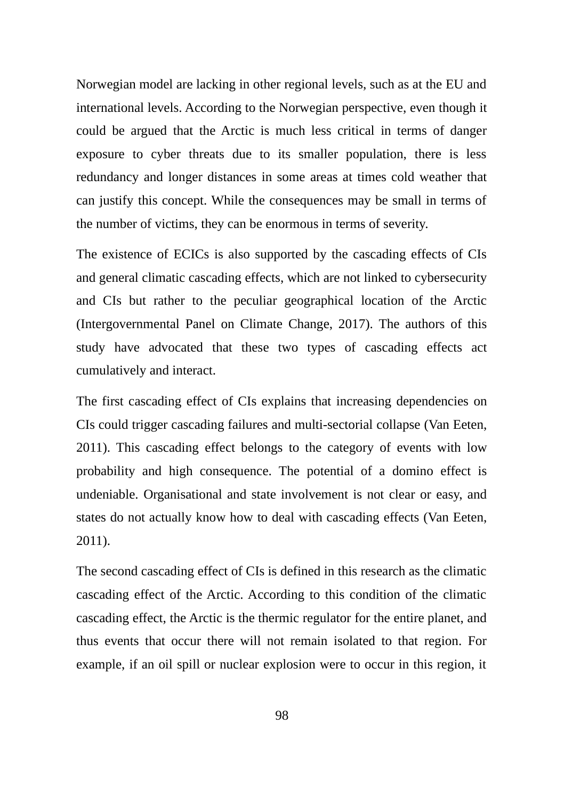Norwegian model are lacking in other regional levels, such as at the EU and international levels. According to the Norwegian perspective, even though it could be argued that the Arctic is much less critical in terms of danger exposure to cyber threats due to its smaller population, there is less redundancy and longer distances in some areas at times cold weather that can justify this concept. While the consequences may be small in terms of the number of victims, they can be enormous in terms of severity.

The existence of ECICs is also supported by the cascading effects of CIs and general climatic cascading effects, which are not linked to cybersecurity and CIs but rather to the peculiar geographical location of the Arctic (Intergovernmental Panel on Climate Change, 2017). The authors of this study have advocated that these two types of cascading effects act cumulatively and interact.

The first cascading effect of CIs explains that increasing dependencies on CIs could trigger cascading failures and multi-sectorial collapse (Van Eeten, 2011). This cascading effect belongs to the category of events with low probability and high consequence. The potential of a domino effect is undeniable. Organisational and state involvement is not clear or easy, and states do not actually know how to deal with cascading effects (Van Eeten, 2011).

The second cascading effect of CIs is defined in this research as the climatic cascading effect of the Arctic. According to this condition of the climatic cascading effect, the Arctic is the thermic regulator for the entire planet, and thus events that occur there will not remain isolated to that region. For example, if an oil spill or nuclear explosion were to occur in this region, it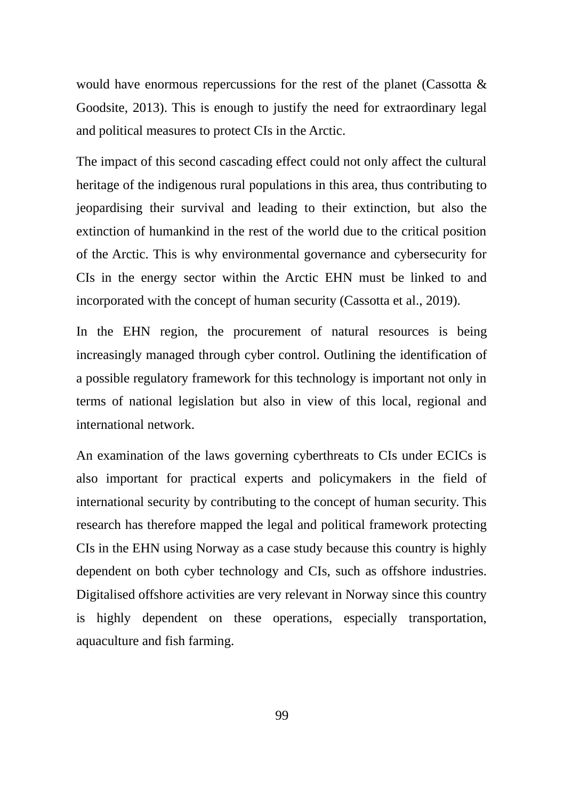would have enormous repercussions for the rest of the planet (Cassotta & Goodsite, 2013). This is enough to justify the need for extraordinary legal and political measures to protect CIs in the Arctic.

The impact of this second cascading effect could not only affect the cultural heritage of the indigenous rural populations in this area, thus contributing to jeopardising their survival and leading to their extinction, but also the extinction of humankind in the rest of the world due to the critical position of the Arctic. This is why environmental governance and cybersecurity for CIs in the energy sector within the Arctic EHN must be linked to and incorporated with the concept of human security (Cassotta et al., 2019).

In the EHN region, the procurement of natural resources is being increasingly managed through cyber control. Outlining the identification of a possible regulatory framework for this technology is important not only in terms of national legislation but also in view of this local, regional and international network.

An examination of the laws governing cyberthreats to CIs under ECICs is also important for practical experts and policymakers in the field of international security by contributing to the concept of human security. This research has therefore mapped the legal and political framework protecting CIs in the EHN using Norway as a case study because this country is highly dependent on both cyber technology and CIs, such as offshore industries. Digitalised offshore activities are very relevant in Norway since this country is highly dependent on these operations, especially transportation, aquaculture and fish farming.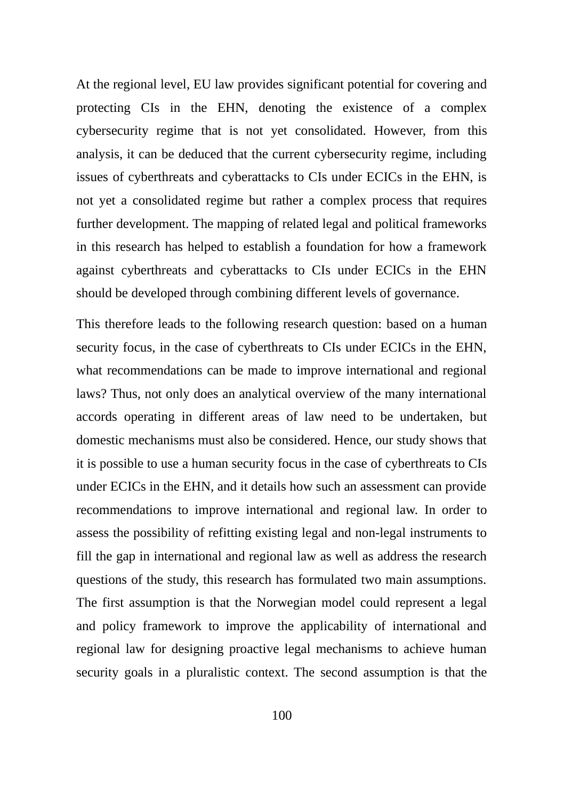At the regional level, EU law provides significant potential for covering and protecting CIs in the EHN, denoting the existence of a complex cybersecurity regime that is not yet consolidated. However, from this analysis, it can be deduced that the current cybersecurity regime, including issues of cyberthreats and cyberattacks to CIs under ECICs in the EHN, is not yet a consolidated regime but rather a complex process that requires further development. The mapping of related legal and political frameworks in this research has helped to establish a foundation for how a framework against cyberthreats and cyberattacks to CIs under ECICs in the EHN should be developed through combining different levels of governance.

This therefore leads to the following research question: based on a human security focus, in the case of cyberthreats to CIs under ECICs in the EHN, what recommendations can be made to improve international and regional laws? Thus, not only does an analytical overview of the many international accords operating in different areas of law need to be undertaken, but domestic mechanisms must also be considered. Hence, our study shows that it is possible to use a human security focus in the case of cyberthreats to CIs under ECICs in the EHN, and it details how such an assessment can provide recommendations to improve international and regional law. In order to assess the possibility of refitting existing legal and non-legal instruments to fill the gap in international and regional law as well as address the research questions of the study, this research has formulated two main assumptions. The first assumption is that the Norwegian model could represent a legal and policy framework to improve the applicability of international and regional law for designing proactive legal mechanisms to achieve human security goals in a pluralistic context. The second assumption is that the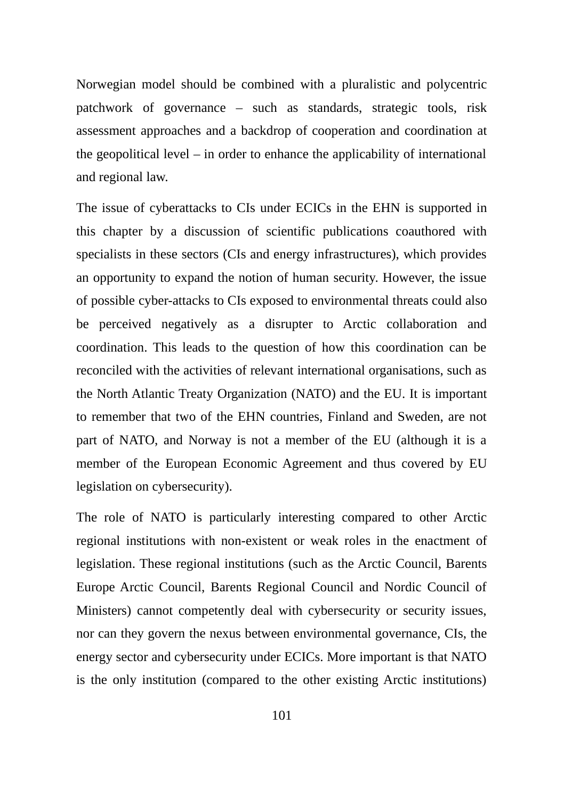Norwegian model should be combined with a pluralistic and polycentric patchwork of governance – such as standards, strategic tools, risk assessment approaches and a backdrop of cooperation and coordination at the geopolitical level – in order to enhance the applicability of international and regional law.

The issue of cyberattacks to CIs under ECICs in the EHN is supported in this chapter by a discussion of scientific publications coauthored with specialists in these sectors (CIs and energy infrastructures), which provides an opportunity to expand the notion of human security. However, the issue of possible cyber-attacks to CIs exposed to environmental threats could also be perceived negatively as a disrupter to Arctic collaboration and coordination. This leads to the question of how this coordination can be reconciled with the activities of relevant international organisations, such as the North Atlantic Treaty Organization (NATO) and the EU. It is important to remember that two of the EHN countries, Finland and Sweden, are not part of NATO, and Norway is not a member of the EU (although it is a member of the European Economic Agreement and thus covered by EU legislation on cybersecurity).

The role of NATO is particularly interesting compared to other Arctic regional institutions with non-existent or weak roles in the enactment of legislation. These regional institutions (such as the Arctic Council, Barents Europe Arctic Council, Barents Regional Council and Nordic Council of Ministers) cannot competently deal with cybersecurity or security issues, nor can they govern the nexus between environmental governance, CIs, the energy sector and cybersecurity under ECICs. More important is that NATO is the only institution (compared to the other existing Arctic institutions)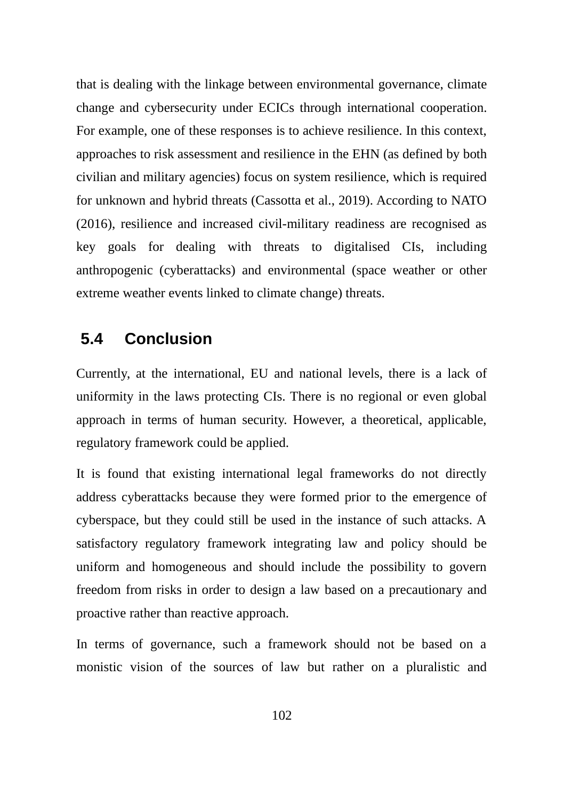that is dealing with the linkage between environmental governance, climate change and cybersecurity under ECICs through international cooperation. For example, one of these responses is to achieve resilience. In this context, approaches to risk assessment and resilience in the EHN (as defined by both civilian and military agencies) focus on system resilience, which is required for unknown and hybrid threats (Cassotta et al., 2019). According to NATO (2016), resilience and increased civil-military readiness are recognised as key goals for dealing with threats to digitalised CIs, including anthropogenic (cyberattacks) and environmental (space weather or other extreme weather events linked to climate change) threats.

# **5.4 Conclusion**

Currently, at the international, EU and national levels, there is a lack of uniformity in the laws protecting CIs. There is no regional or even global approach in terms of human security. However, a theoretical, applicable, regulatory framework could be applied.

It is found that existing international legal frameworks do not directly address cyberattacks because they were formed prior to the emergence of cyberspace, but they could still be used in the instance of such attacks. A satisfactory regulatory framework integrating law and policy should be uniform and homogeneous and should include the possibility to govern freedom from risks in order to design a law based on a precautionary and proactive rather than reactive approach.

In terms of governance, such a framework should not be based on a monistic vision of the sources of law but rather on a pluralistic and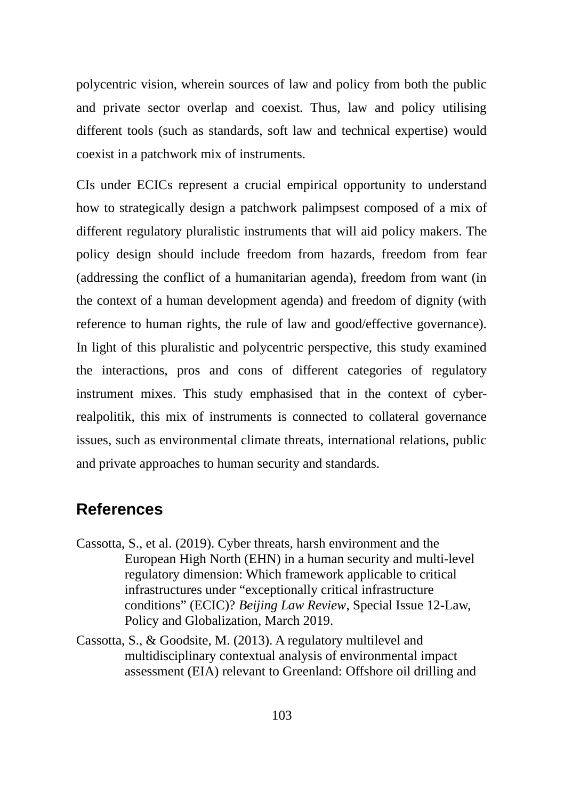polycentric vision, wherein sources of law and policy from both the public and private sector overlap and coexist. Thus, law and policy utilising different tools (such as standards, soft law and technical expertise) would coexist in a patchwork mix of instruments.

CIs under ECICs represent a crucial empirical opportunity to understand how to strategically design a patchwork palimpsest composed of a mix of different regulatory pluralistic instruments that will aid policy makers. The policy design should include freedom from hazards, freedom from fear (addressing the conflict of a humanitarian agenda), freedom from want (in the context of a human development agenda) and freedom of dignity (with reference to human rights, the rule of law and good/effective governance). In light of this pluralistic and polycentric perspective, this study examined the interactions, pros and cons of different categories of regulatory instrument mixes. This study emphasised that in the context of cyberrealpolitik, this mix of instruments is connected to collateral governance issues, such as environmental climate threats, international relations, public and private approaches to human security and standards.

## **References**

- Cassotta, S., et al. (2019). Cyber threats, harsh environment and the European High North (EHN) in a human security and multi-level regulatory dimension: Which framework applicable to critical infrastructures under "exceptionally critical infrastructure conditions" (ECIC)? *Beijing Law Review*, Special Issue 12-Law, Policy and Globalization, March 2019.
- Cassotta, S., & Goodsite, M. (2013). A regulatory multilevel and multidisciplinary contextual analysis of environmental impact assessment (EIA) relevant to Greenland: Offshore oil drilling and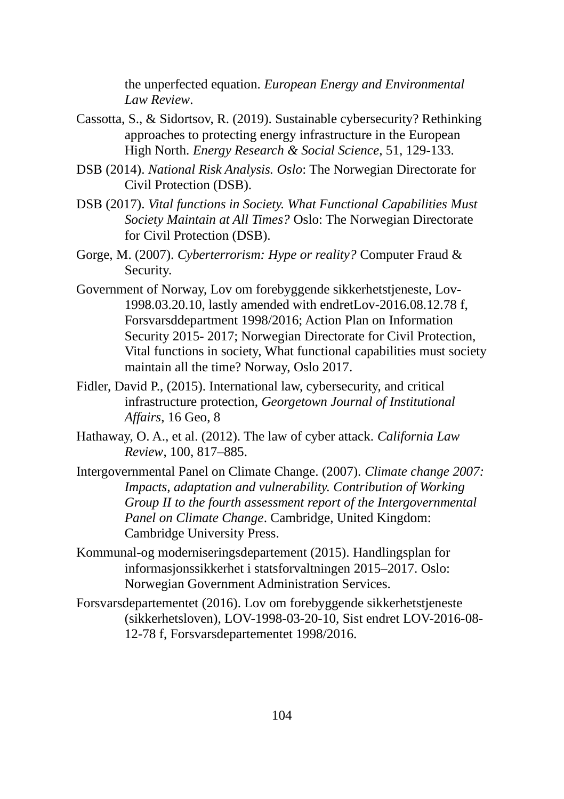the unperfected equation. *European Energy and Environmental Law Review*.

- Cassotta, S., & Sidortsov, R. (2019). Sustainable cybersecurity? Rethinking approaches to protecting energy infrastructure in the European High North. *Energy Research & Social Science*, 51, 129-133.
- DSB (2014). *National Risk Analysis. Oslo*: The Norwegian Directorate for Civil Protection (DSB).
- DSB (2017). *Vital functions in Society. What Functional Capabilities Must Society Maintain at All Times?* Oslo: The Norwegian Directorate for Civil Protection (DSB).
- Gorge, M. (2007). *Cyberterrorism: Hype or reality?* Computer Fraud & Security.
- Government of Norway, Lov om forebyggende sikkerhetstjeneste, Lov-1998.03.20.10, lastly amended with endretLov-2016.08.12.78 f, Forsvarsddepartment 1998/2016; Action Plan on Information Security 2015- 2017; Norwegian Directorate for Civil Protection, Vital functions in society, What functional capabilities must society maintain all the time? Norway, Oslo 2017.
- Fidler, David P., (2015). International law, cybersecurity, and critical infrastructure protection, *Georgetown Journal of Institutional Affairs*, 16 Geo, 8
- Hathaway, O. A., et al. (2012). The law of cyber attack. *California Law Review*, 100, 817–885.
- Intergovernmental Panel on Climate Change. (2007). *Climate change 2007: Impacts, adaptation and vulnerability. Contribution of Working Group II to the fourth assessment report of the Intergovernmental Panel on Climate Change*. Cambridge, United Kingdom: Cambridge University Press.
- Kommunal-og moderniseringsdepartement (2015). Handlingsplan for informasjonssikkerhet i statsforvaltningen 2015–2017. Oslo: Norwegian Government Administration Services.
- Forsvarsdepartementet (2016). Lov om forebyggende sikkerhetstjeneste (sikkerhetsloven), LOV-1998-03-20-10, Sist endret LOV-2016-08- 12-78 f, Forsvarsdepartementet 1998/2016.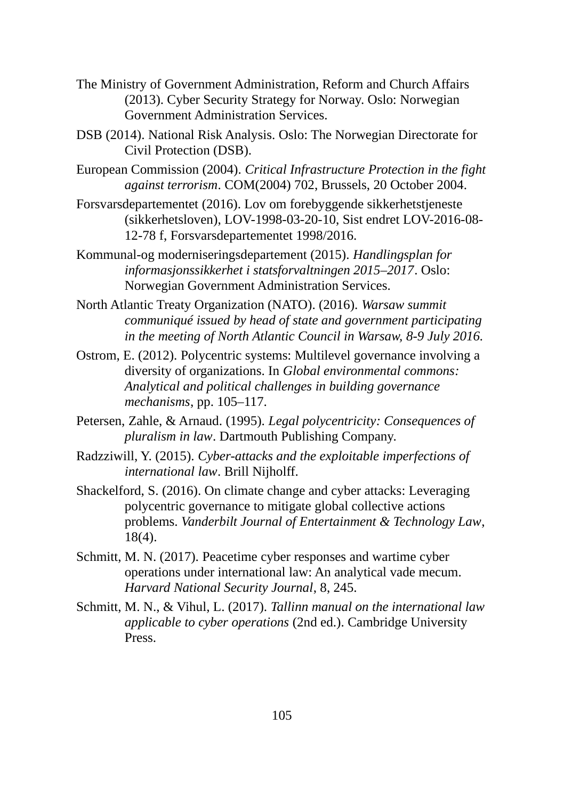- The Ministry of Government Administration, Reform and Church Affairs (2013). Cyber Security Strategy for Norway. Oslo: Norwegian Government Administration Services.
- DSB (2014). National Risk Analysis. Oslo: The Norwegian Directorate for Civil Protection (DSB).
- European Commission (2004). *Critical Infrastructure Protection in the fight against terrorism*. COM(2004) 702, Brussels, 20 October 2004.
- Forsvarsdepartementet (2016). Lov om forebyggende sikkerhetstjeneste (sikkerhetsloven), LOV-1998-03-20-10, Sist endret LOV-2016-08- 12-78 f, Forsvarsdepartementet 1998/2016.
- Kommunal-og moderniseringsdepartement (2015). *Handlingsplan for informasjonssikkerhet i statsforvaltningen 2015–2017*. Oslo: Norwegian Government Administration Services.
- North Atlantic Treaty Organization (NATO). (2016). *Warsaw summit communiqué issued by head of state and government participating in the meeting of North Atlantic Council in Warsaw, 8-9 July 2016.*
- Ostrom, E. (2012). Polycentric systems: Multilevel governance involving a diversity of organizations. In *Global environmental commons: Analytical and political challenges in building governance mechanisms*, pp. 105–117.
- Petersen, Zahle, & Arnaud. (1995). *Legal polycentricity: Consequences of pluralism in law*. Dartmouth Publishing Company.
- Radzziwill, Y. (2015). *Cyber-attacks and the exploitable imperfections of international law*. Brill Nijholff.
- Shackelford, S. (2016). On climate change and cyber attacks: Leveraging polycentric governance to mitigate global collective actions problems. *Vanderbilt Journal of Entertainment & Technology Law*, 18(4).
- Schmitt, M. N. (2017). Peacetime cyber responses and wartime cyber operations under international law: An analytical vade mecum. *Harvard National Security Journal*, 8, 245.
- Schmitt, M. N., & Vihul, L. (2017). *Tallinn manual on the international law applicable to cyber operations* (2nd ed.). Cambridge University Press.